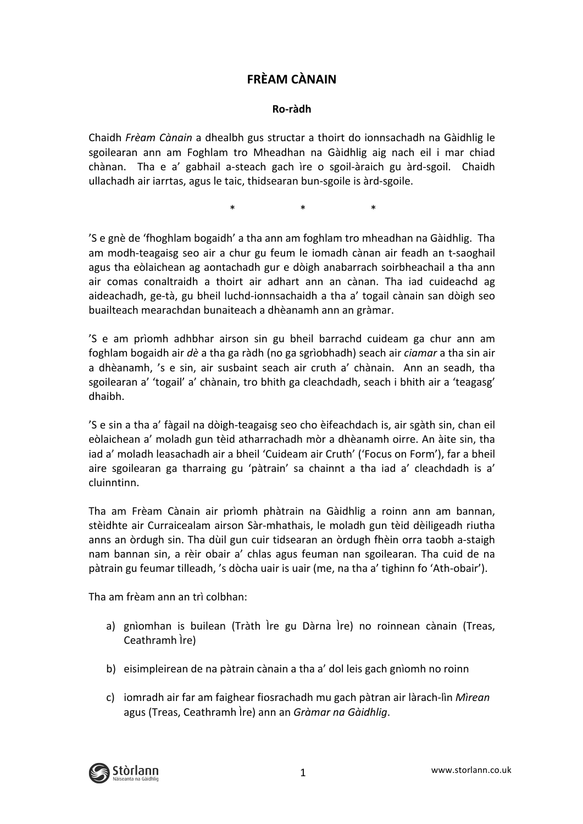## **FRÈAM CÀNAIN**

## **Ro-ràdh**

Chaidh Frèam Cànain a dhealbh gus structar a thoirt do ionnsachadh na Gàidhlig le sgoilearan ann am Foghlam tro Mheadhan na Gàidhlig aig nach eil i mar chiad chànan. Tha e a' gabhail a-steach gach ìre o sgoil-àraich gu àrd-sgoil. Chaidh ullachadh air iarrtas, agus le taic, thidsearan bun-sgoile is àrd-sgoile.

\* \* \*

'S e gnè de 'fhoghlam bogaidh' a tha ann am foghlam tro mheadhan na Gàidhlig. Tha am modh-teagaisg seo air a chur gu feum le iomadh cànan air feadh an t-saoghail agus tha eòlaichean ag aontachadh gur e dòigh anabarrach soirbheachail a tha ann air comas conaltraidh a thoirt air adhart ann an cànan. Tha iad cuideachd ag aideachadh, ge-tà, gu bheil luchd-ionnsachaidh a tha a' togail cànain san dòigh seo buailteach mearachdan bunaiteach a dhèanamh ann an gràmar.

'S e am prìomh adhbhar airson sin gu bheil barrachd cuideam ga chur ann am foghlam bogaidh air *dè* a tha ga ràdh (no ga sgrìobhadh) seach air *ciamar* a tha sin air a dhèanamh, 's e sin, air susbaint seach air cruth a' chànain. Ann an seadh, tha sgoilearan a' 'togail' a' chànain, tro bhith ga cleachdadh, seach i bhith air a 'teagasg' dhaibh.

'S e sin a tha a' fàgail na dòigh-teagaisg seo cho èifeachdach is, air sgàth sin, chan eil eòlaichean a' moladh gun tèid atharrachadh mòr a dhèanamh oirre. An àite sin, tha iad a' moladh leasachadh air a bheil 'Cuideam air Cruth' ('Focus on Form'), far a bheil aire sgoilearan ga tharraing gu 'pàtrain' sa chainnt a tha iad a' cleachdadh is a' cluinntinn.

Tha am Frèam Cànain air prìomh phàtrain na Gàidhlig a roinn ann am bannan, stèidhte air Curraicealam airson Sàr-mhathais, le moladh gun tèid dèiligeadh riutha anns an òrdugh sin. Tha dùil gun cuir tidsearan an òrdugh fhèin orra taobh a-staigh nam bannan sin, a rèir obair a' chlas agus feuman nan sgoilearan. Tha cuid de na pàtrain gu feumar tilleadh, 's dòcha uair is uair (me, na tha a' tighinn fo 'Ath-obair').

Tha am frèam ann an trì colbhan:

- a) gnìomhan is builean (Tràth Ìre gu Dàrna Ìre) no roinnean cànain (Treas, Ceathramh Ìre)
- b) eisimpleirean de na pàtrain cànain a tha a' dol leis gach gnìomh no roinn
- c) iomradh air far am faighear fiosrachadh mu gach pàtran air làrach-lìn *Mìrean* agus (Treas, Ceathramh Ìre) ann an *Gràmar na Gàidhlig*.

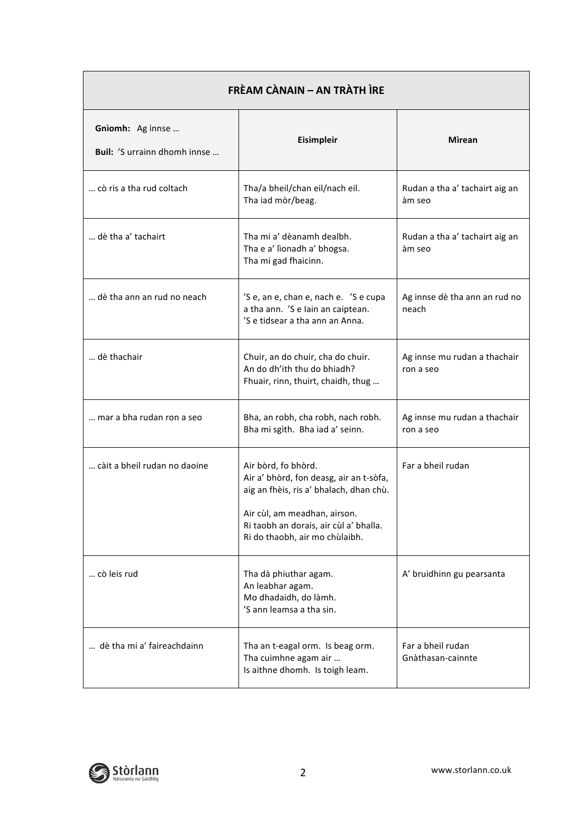| FRÈAM CÀNAIN - AN TRÀTH ÌRE                      |                                                                                                                                                                                                                       |                                           |
|--------------------------------------------------|-----------------------------------------------------------------------------------------------------------------------------------------------------------------------------------------------------------------------|-------------------------------------------|
| Gnìomh: Ag innse<br>Buil: 'S urrainn dhomh innse | <b>Eisimpleir</b>                                                                                                                                                                                                     | Mìrean                                    |
| cò ris a tha rud coltach                         | Tha/a bheil/chan eil/nach eil.<br>Tha iad mòr/beag.                                                                                                                                                                   | Rudan a tha a' tachairt aig an<br>àm seo  |
| dè tha a' tachairt                               | Tha mi a' dèanamh dealbh.<br>Tha e a' lìonadh a' bhogsa.<br>Tha mi gad fhaicinn.                                                                                                                                      | Rudan a tha a' tachairt aig an<br>àm seo  |
| dè tha ann an rud no neach                       | 'S e, an e, chan e, nach e. 'S e cupa<br>a tha ann. 'S e Iain an caiptean.<br>'S e tidsear a tha ann an Anna.                                                                                                         | Ag innse dè tha ann an rud no<br>neach    |
| dè thachair                                      | Chuir, an do chuir, cha do chuir.<br>An do dh'ith thu do bhiadh?<br>Fhuair, rinn, thuirt, chaidh, thug                                                                                                                | Ag innse mu rudan a thachair<br>ron a seo |
| mar a bha rudan ron a seo                        | Bha, an robh, cha robh, nach robh.<br>Bha mi sgìth. Bha iad a' seinn.                                                                                                                                                 | Ag innse mu rudan a thachair<br>ron a seo |
| càit a bheil rudan no daoine                     | Air bòrd, fo bhòrd.<br>Air a' bhòrd, fon deasg, air an t-sòfa,<br>aig an fhèis, ris a' bhalach, dhan chù.<br>Air cùl, am meadhan, airson.<br>Ri taobh an dorais, air cùl a' bhalla.<br>Ri do thaobh, air mo chùlaibh. | Far a bheil rudan                         |
| cò leis rud                                      | Tha dà phiuthar agam.<br>An leabhar agam.<br>Mo dhadaidh, do làmh.<br>'S ann leamsa a tha sin.                                                                                                                        | A' bruidhinn gu pearsanta                 |
| dè tha mi a' faireachdainn                       | Tha an t-eagal orm. Is beag orm.<br>Tha cuimhne agam air<br>Is aithne dhomh. Is toigh leam.                                                                                                                           | Far a bheil rudan<br>Gnàthasan-cainnte    |

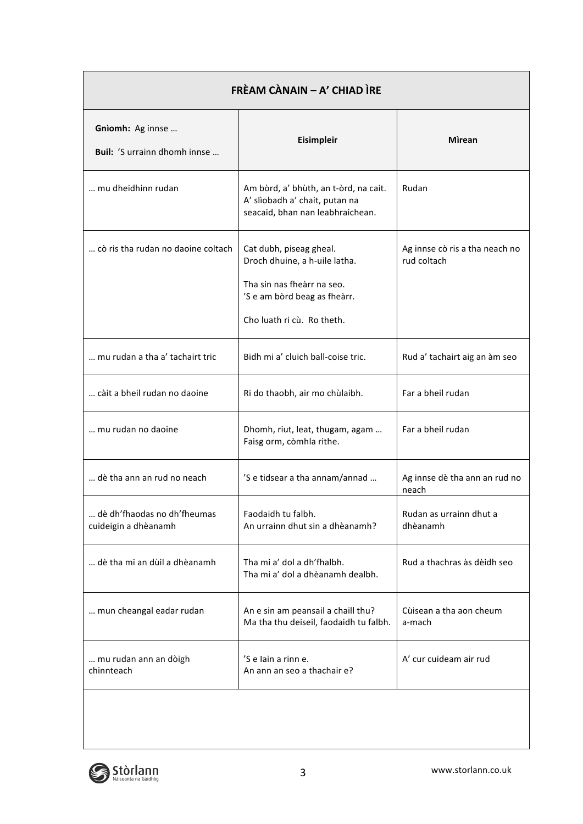| FRÈAM CÀNAIN – A' CHIAD ÌRE                             |                                                                                                                                                      |                                               |
|---------------------------------------------------------|------------------------------------------------------------------------------------------------------------------------------------------------------|-----------------------------------------------|
| Gnìomh: Ag innse<br><b>Buil:</b> 'S urrainn dhomh innse | <b>Eisimpleir</b>                                                                                                                                    | Mìrean                                        |
| mu dheidhinn rudan                                      | Am bòrd, a' bhùth, an t-òrd, na cait.<br>A' slìobadh a' chait, putan na<br>seacaid, bhan nan leabhraichean.                                          | Rudan                                         |
| cò ris tha rudan no daoine coltach                      | Cat dubh, piseag gheal.<br>Droch dhuine, a h-uile latha.<br>Tha sin nas fheàrr na seo.<br>'S e am bòrd beag as fheàrr.<br>Cho luath ri cù. Ro theth. | Ag innse cò ris a tha neach no<br>rud coltach |
| mu rudan a tha a' tachairt tric                         | Bidh mi a' cluich ball-coise tric.                                                                                                                   | Rud a' tachairt aig an àm seo                 |
| càit a bheil rudan no daoine                            | Ri do thaobh, air mo chùlaibh.                                                                                                                       | Far a bheil rudan                             |
| mu rudan no daoine                                      | Dhomh, riut, leat, thugam, agam<br>Faisg orm, còmhla rithe.                                                                                          | Far a bheil rudan                             |
| dè tha ann an rud no neach                              | 'S e tidsear a tha annam/annad                                                                                                                       | Ag innse dè tha ann an rud no<br>neach        |
| dè dh'fhaodas no dh'fheumas<br>cuideigin a dhèanamh     | Faodaidh tu falbh.<br>An urrainn dhut sin a dhèanamh?                                                                                                | Rudan as urrainn dhut a<br>dhèanamh           |
| dè tha mi an dùil a dhèanamh                            | Tha mi a' dol a dh'fhalbh.<br>Tha mi a' dol a dhèanamh dealbh.                                                                                       | Rud a thachras às dèidh seo                   |
| mun cheangal eadar rudan                                | An e sin am peansail a chaill thu?<br>Ma tha thu deiseil, faodaidh tu falbh.                                                                         | Cùisean a tha aon cheum<br>a-mach             |
| mu rudan ann an dòigh<br>chinnteach                     | 'S e Iain a rinn e.<br>An ann an seo a thachair e?                                                                                                   | A' cur cuideam air rud                        |
|                                                         |                                                                                                                                                      |                                               |

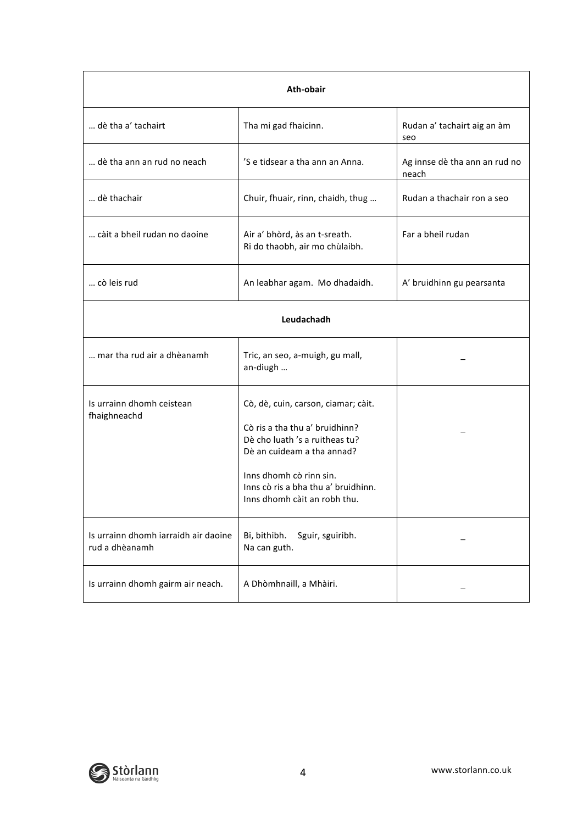| Ath-obair                                              |                                                                                                                                                                                                                                         |                                        |
|--------------------------------------------------------|-----------------------------------------------------------------------------------------------------------------------------------------------------------------------------------------------------------------------------------------|----------------------------------------|
| dè tha a' tachairt                                     | Tha mi gad fhaicinn.                                                                                                                                                                                                                    | Rudan a' tachairt aig an àm<br>seo     |
| dè tha ann an rud no neach                             | 'S e tidsear a tha ann an Anna.                                                                                                                                                                                                         | Ag innse dè tha ann an rud no<br>neach |
| dè thachair                                            | Chuir, fhuair, rinn, chaidh, thug                                                                                                                                                                                                       | Rudan a thachair ron a seo             |
| càit a bheil rudan no daoine                           | Air a' bhòrd, às an t-sreath.<br>Ri do thaobh, air mo chùlaibh.                                                                                                                                                                         | Far a bheil rudan                      |
| cò leis rud                                            | An leabhar agam. Mo dhadaidh.                                                                                                                                                                                                           | A' bruidhinn gu pearsanta              |
| Leudachadh                                             |                                                                                                                                                                                                                                         |                                        |
| mar tha rud air a dhèanamh                             | Tric, an seo, a-muigh, gu mall,<br>an-diugh                                                                                                                                                                                             |                                        |
| Is urrainn dhomh ceistean<br>fhaighneachd              | Cò, dè, cuin, carson, ciamar; càit.<br>Cò ris a tha thu a' bruidhinn?<br>Dè cho luath 's a ruitheas tu?<br>Dè an cuideam a tha annad?<br>Inns dhomh cò rinn sin.<br>Inns cò ris a bha thu a' bruidhinn.<br>Inns dhomh càit an robh thu. |                                        |
| Is urrainn dhomh iarraidh air daoine<br>rud a dhèanamh | Bi, bithibh.<br>Sguir, sguiribh.<br>Na can guth.                                                                                                                                                                                        |                                        |
| Is urrainn dhomh gairm air neach.                      | A Dhòmhnaill, a Mhàiri.                                                                                                                                                                                                                 |                                        |

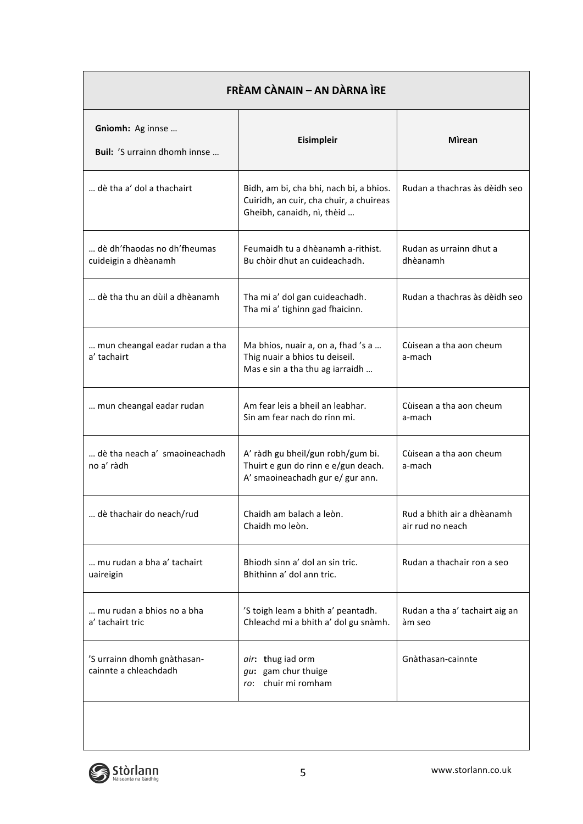| FRÈAM CÀNAIN - AN DÀRNA ÌRE                             |                                                                                                                  |                                                |
|---------------------------------------------------------|------------------------------------------------------------------------------------------------------------------|------------------------------------------------|
| Gnìomh: Ag innse<br><b>Buil:</b> 'S urrainn dhomh innse | Eisimpleir                                                                                                       | <b>Mirean</b>                                  |
| dè tha a' dol a thachairt                               | Bidh, am bi, cha bhi, nach bi, a bhios.<br>Cuiridh, an cuir, cha chuir, a chuireas<br>Gheibh, canaidh, nì, thèid | Rudan a thachras às dèidh seo                  |
| dè dh'fhaodas no dh'fheumas<br>cuideigin a dhèanamh     | Feumaidh tu a dhèanamh a-rithist.<br>Bu chòir dhut an cuideachadh.                                               | Rudan as urrainn dhut a<br>dhèanamh            |
| dè tha thu an dùil a dhèanamh                           | Tha mi a' dol gan cuideachadh.<br>Tha mi a' tighinn gad fhaicinn.                                                | Rudan a thachras às dèidh seo                  |
| mun cheangal eadar rudan a tha<br>a' tachairt           | Ma bhios, nuair a, on a, fhad 's a<br>Thig nuair a bhios tu deiseil.<br>Mas e sin a tha thu ag iarraidh          | Cùisean a tha aon cheum<br>a-mach              |
| mun cheangal eadar rudan                                | Am fear leis a bheil an leabhar.<br>Sin am fear nach do rinn mi.                                                 | Cùisean a tha aon cheum<br>a-mach              |
| dè tha neach a' smaoineachadh<br>no a' ràdh             | A' ràdh gu bheil/gun robh/gum bi.<br>Thuirt e gun do rinn e e/gun deach.<br>A' smaoineachadh gur e/ gur ann.     | Cùisean a tha aon cheum<br>a-mach              |
| dè thachair do neach/rud                                | Chaidh am balach a leòn.<br>Chaidh mo leòn.                                                                      | Rud a bhith air a dhèanamh<br>air rud no neach |
| mu rudan a bha a' tachairt<br>uaireigin                 | Bhiodh sinn a' dol an sin tric.<br>Bhithinn a' dol ann tric.                                                     | Rudan a thachair ron a seo                     |
| mu rudan a bhios no a bha<br>a' tachairt tric           | 'S toigh leam a bhith a' peantadh.<br>Chleachd mi a bhith a' dol gu snàmh.                                       | Rudan a tha a' tachairt aig an<br>àm seo       |
| 'S urrainn dhomh gnàthasan-<br>cainnte a chleachdadh    | air: thug iad orm<br>gu: gam chur thuige<br>chuir mi romham<br>ro:                                               | Gnàthasan-cainnte                              |
|                                                         |                                                                                                                  |                                                |

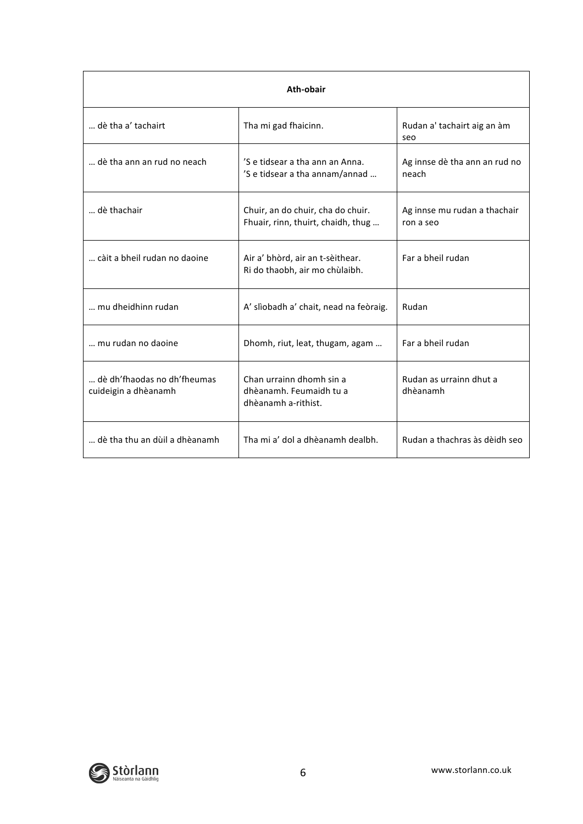| Ath-obair                                           |                                                                            |                                           |
|-----------------------------------------------------|----------------------------------------------------------------------------|-------------------------------------------|
| dè tha a' tachairt                                  | Tha mi gad fhaicinn.                                                       | Rudan a' tachairt aig an àm<br>seo        |
| dè tha ann an rud no neach                          | 'S e tidsear a tha ann an Anna.<br>'S e tidsear a tha annam/annad          | Ag innse dè tha ann an rud no<br>neach    |
| dè thachair                                         | Chuir, an do chuir, cha do chuir.<br>Fhuair, rinn, thuirt, chaidh, thug    | Ag innse mu rudan a thachair<br>ron a seo |
| càit a bheil rudan no daoine                        | Air a' bhòrd, air an t-sèithear.<br>Ri do thaobh, air mo chùlaibh.         | Far a bheil rudan                         |
| mu dheidhinn rudan                                  | A' slìobadh a' chait, nead na feòraig.                                     | Rudan                                     |
| mu rudan no daoine                                  | Dhomh, riut, leat, thugam, agam                                            | Far a bheil rudan                         |
| dè dh'fhaodas no dh'fheumas<br>cuideigin a dhèanamh | Chan urrainn dhomh sin a<br>dhèanamh. Feumaidh tu a<br>dhèanamh a-rithist. | Rudan as urrainn dhut a<br>dhèanamh       |
| dè tha thu an dùil a dhèanamh                       | Tha mi a' dol a dhèanamh dealbh.                                           | Rudan a thachras às dèidh seo             |

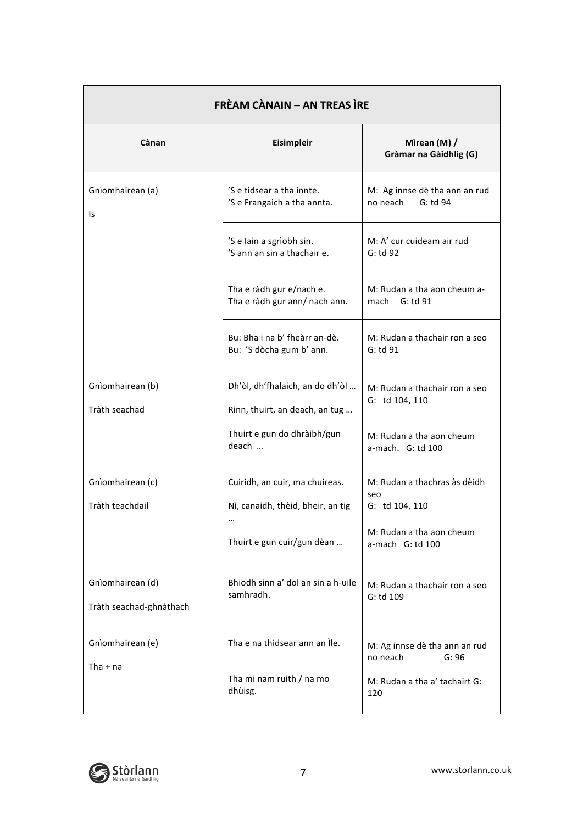| FRÈAM CÀNAIN - AN TREAS ÌRE                 |                                                                                                               |                                                                                                          |
|---------------------------------------------|---------------------------------------------------------------------------------------------------------------|----------------------------------------------------------------------------------------------------------|
| Cànan                                       | Eisimpleir                                                                                                    | Mìrean (M) /<br>Gràmar na Gàidhlig (G)                                                                   |
| Gnìomhairean (a)<br>ls                      | 'S e tidsear a tha innte.<br>'S e Frangaich a tha annta.                                                      | M: Ag innse dè tha ann an rud<br>G:td94<br>no neach                                                      |
|                                             | 'S e Iain a sgrìobh sin.<br>'S ann an sin a thachair e.                                                       | M: A' cur cuideam air rud<br>G:td92                                                                      |
|                                             | Tha e ràdh gur e/nach e.<br>Tha e ràdh gur ann/ nach ann.                                                     | M: Rudan a tha aon cheum a-<br>mach G: td 91                                                             |
|                                             | Bu: Bha i na b' fheàrr an-dè.<br>Bu: 'S dòcha gum b' ann.                                                     | M: Rudan a thachair ron a seo<br>G:td91                                                                  |
| Gnìomhairean (b)<br>Tràth seachad           | Dh'òl, dh'fhalaich, an do dh'òl<br>Rinn, thuirt, an deach, an tug                                             | M: Rudan a thachair ron a seo<br>G: td 104, 110                                                          |
|                                             | Thuirt e gun do dhràibh/gun<br>deach                                                                          | M: Rudan a tha aon cheum<br>a-mach. G: td 100                                                            |
| Gnìomhairean (c)<br>Tràth teachdail         | Cuiridh, an cuir, ma chuireas.<br>Nì, canaidh, thèid, bheir, an tig<br>$\cdots$<br>Thuirt e gun cuir/gun dèan | M: Rudan a thachras às dèidh<br>seo<br>G: td 104, 110<br>M: Rudan a tha aon cheum<br>$a$ -mach G: td 100 |
| Gnìomhairean (d)<br>Tràth seachad-ghnàthach | Bhiodh sinn a' dol an sin a h-uile<br>samhradh.                                                               | M: Rudan a thachair ron a seo<br>G: td 109                                                               |
| Gnìomhairean (e)<br>Tha $+$ na              | Tha e na thidsear ann an Ìle.<br>Tha mi nam ruith / na mo<br>dhùisg.                                          | M: Ag innse dè tha ann an rud<br>no neach<br>G: 96<br>M: Rudan a tha a' tachairt G:<br>120               |

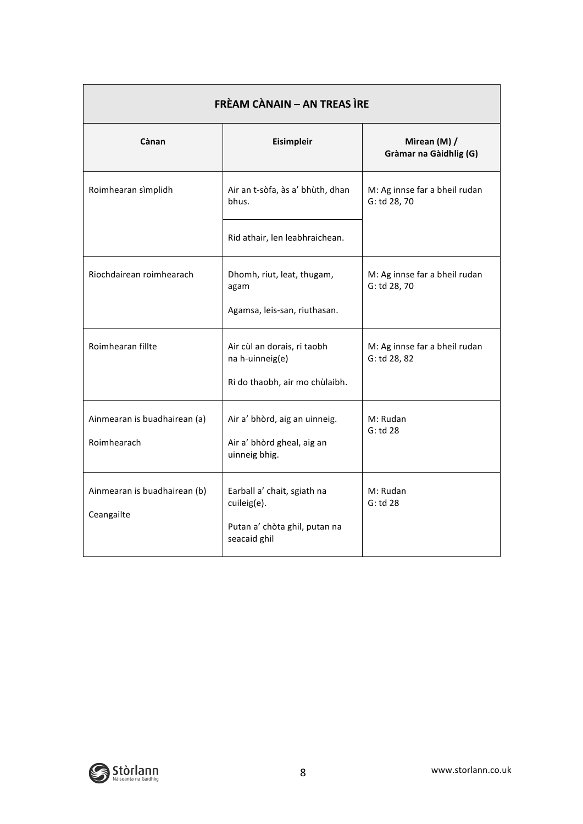| FRÈAM CÀNAIN - AN TREAS ÌRE                 |                                                                                             |                                               |
|---------------------------------------------|---------------------------------------------------------------------------------------------|-----------------------------------------------|
| Cànan                                       | Eisimpleir                                                                                  | Mìrean (M) /<br>Gràmar na Gàidhlig (G)        |
| Roimhearan sìmplidh                         | Air an t-sòfa, às a' bhùth, dhan<br>bhus.<br>Rid athair, len leabhraichean.                 | M: Ag innse far a bheil rudan<br>G: td 28, 70 |
| Riochdairean roimhearach                    | Dhomh, riut, leat, thugam,<br>agam<br>Agamsa, leis-san, riuthasan.                          | M: Ag innse far a bheil rudan<br>G: td 28, 70 |
| Roimhearan fillte                           | Air cùl an dorais, ri taobh<br>na h-uinneig(e)<br>Ri do thaobh, air mo chùlaibh.            | M: Ag innse far a bheil rudan<br>G: td 28, 82 |
| Ainmearan is buadhairean (a)<br>Roimhearach | Air a' bhòrd, aig an uinneig.<br>Air a' bhòrd gheal, aig an<br>uinneig bhig.                | M: Rudan<br>G:td28                            |
| Ainmearan is buadhairean (b)<br>Ceangailte  | Earball a' chait, sgiath na<br>cuileig(e).<br>Putan a' chòta ghil, putan na<br>seacaid ghil | M: Rudan<br>G:td28                            |

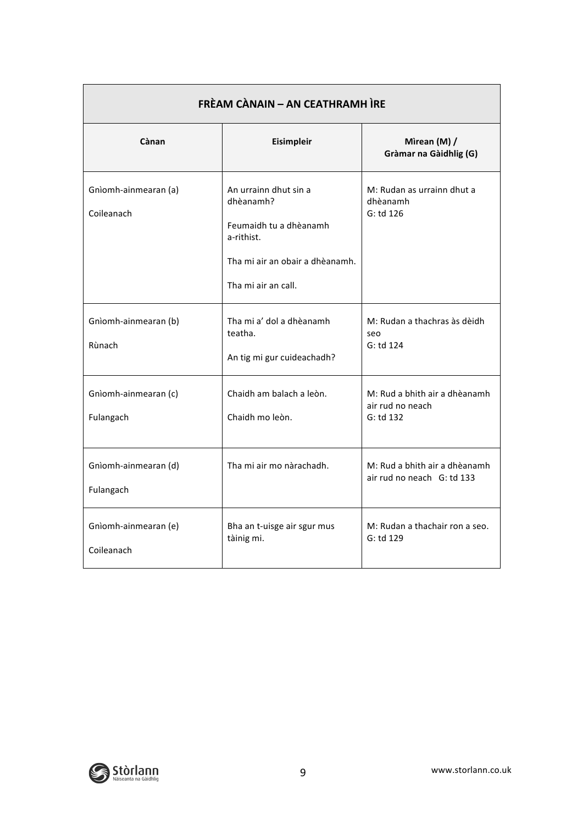| FRÈAM CÀNAIN - AN CEATHRAMH ÌRE    |                                                                                                                                      |                                                                  |
|------------------------------------|--------------------------------------------------------------------------------------------------------------------------------------|------------------------------------------------------------------|
| Cànan                              | Eisimpleir                                                                                                                           | Mìrean (M) /<br>Gràmar na Gàidhlig (G)                           |
| Gnìomh-ainmearan (a)<br>Coileanach | An urrainn dhut sin a<br>dhèanamh?<br>Feumaidh tu a dhèanamh<br>a-rithist.<br>Tha mi air an obair a dhèanamh.<br>Tha mi air an call. | M: Rudan as urrainn dhut a<br>dhèanamh<br>$G:$ td 126            |
| Gnìomh-ainmearan (b)<br>Rùnach     | Tha mi a' dol a dhèanamh<br>teatha.<br>An tig mi gur cuideachadh?                                                                    | M: Rudan a thachras às dèidh<br>seo<br>$G:$ td 124               |
| Gnìomh-ainmearan (c)<br>Fulangach  | Chaidh am balach a leòn.<br>Chaidh mo leòn.                                                                                          | M: Rud a bhith air a dhèanamh<br>air rud no neach<br>$G:$ td 132 |
| Gnìomh-ainmearan (d)<br>Fulangach  | Tha mi air mo nàrachadh.                                                                                                             | M: Rud a bhith air a dhèanamh<br>air rud no neach G: td 133      |
| Gnìomh-ainmearan (e)<br>Coileanach | Bha an t-uisge air sgur mus<br>tàinig mi.                                                                                            | M: Rudan a thachair ron a seo.<br>G: td 129                      |